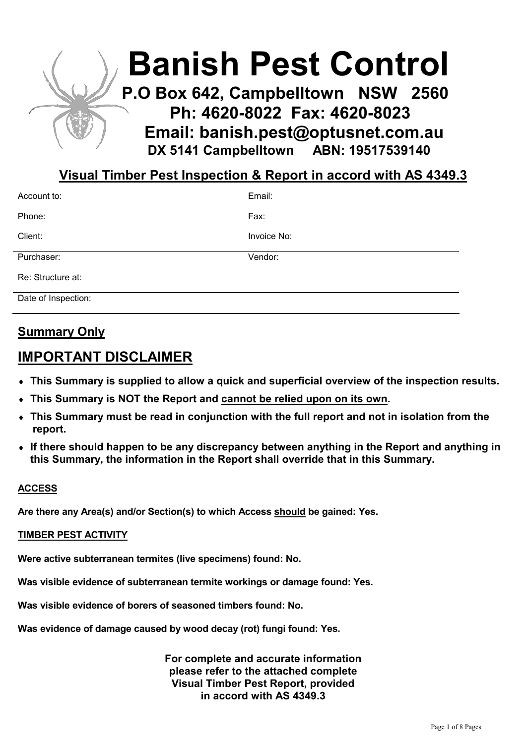

# Visual Timber Pest Inspection & Report in accord with AS 4349.3

| Account to:         | Email:      |
|---------------------|-------------|
| Phone:              | Fax:        |
| Client:             | Invoice No: |
| Purchaser:          | Vendor:     |
| Re: Structure at:   |             |
| Date of Inspection: |             |

# Summary Only

# IMPORTANT DISCLAIMER

- ♦ This Summary is supplied to allow a quick and superficial overview of the inspection results.
- ♦ This Summary is NOT the Report and cannot be relied upon on its own.
- ♦ This Summary must be read in conjunction with the full report and not in isolation from the report.
- ♦ If there should happen to be any discrepancy between anything in the Report and anything in this Summary, the information in the Report shall override that in this Summary.

# ACCESS

Are there any Area(s) and/or Section(s) to which Access should be gained: Yes.

## TIMBER PEST ACTIVITY

Were active subterranean termites (live specimens) found: No.

Was visible evidence of subterranean termite workings or damage found: Yes.

Was visible evidence of borers of seasoned timbers found: No.

Was evidence of damage caused by wood decay (rot) fungi found: Yes.

For complete and accurate information please refer to the attached complete Visual Timber Pest Report, provided in accord with AS 4349.3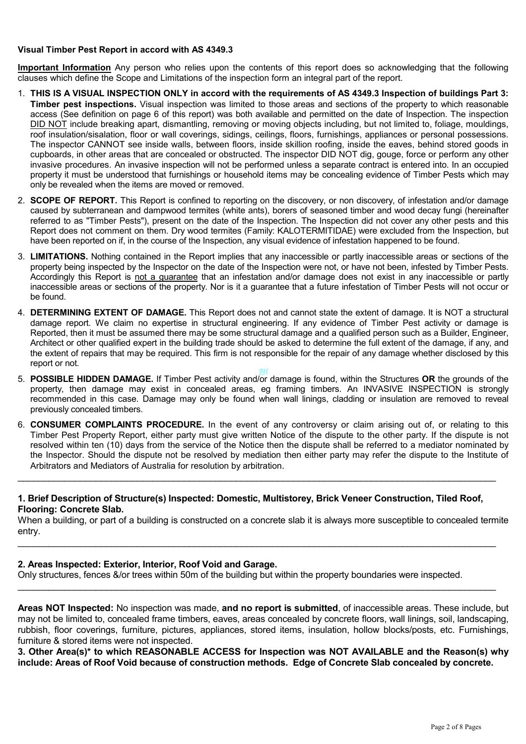#### Visual Timber Pest Report in accord with AS 4349.3

Important Information Any person who relies upon the contents of this report does so acknowledging that the following clauses which define the Scope and Limitations of the inspection form an integral part of the report.

- 1. THIS IS A VISUAL INSPECTION ONLY in accord with the requirements of AS 4349.3 Inspection of buildings Part 3: Timber pest inspections. Visual inspection was limited to those areas and sections of the property to which reasonable access (See definition on page 6 of this report) was both available and permitted on the date of Inspection. The inspection DID NOT include breaking apart, dismantling, removing or moving objects including, but not limited to, foliage, mouldings, roof insulation/sisalation, floor or wall coverings, sidings, ceilings, floors, furnishings, appliances or personal possessions. The inspector CANNOT see inside walls, between floors, inside skillion roofing, inside the eaves, behind stored goods in cupboards, in other areas that are concealed or obstructed. The inspector DID NOT dig, gouge, force or perform any other invasive procedures. An invasive inspection will not be performed unless a separate contract is entered into. In an occupied property it must be understood that furnishings or household items may be concealing evidence of Timber Pests which may only be revealed when the items are moved or removed.
- 2. **SCOPE OF REPORT.** This Report is confined to reporting on the discovery, or non discovery, of infestation and/or damage caused by subterranean and dampwood termites (white ants), borers of seasoned timber and wood decay fungi (hereinafter referred to as "Timber Pests"), present on the date of the Inspection. The Inspection did not cover any other pests and this Report does not comment on them. Dry wood termites (Family: KALOTERMITIDAE) were excluded from the Inspection, but have been reported on if, in the course of the Inspection, any visual evidence of infestation happened to be found.
- 3. LIMITATIONS. Nothing contained in the Report implies that any inaccessible or partly inaccessible areas or sections of the property being inspected by the Inspector on the date of the Inspection were not, or have not been, infested by Timber Pests. Accordingly this Report is not a guarantee that an infestation and/or damage does not exist in any inaccessible or partly inaccessible areas or sections of the property. Nor is it a guarantee that a future infestation of Timber Pests will not occur or be found.
- 4. DETERMINING EXTENT OF DAMAGE. This Report does not and cannot state the extent of damage. It is NOT a structural damage report. We claim no expertise in structural engineering. If any evidence of Timber Pest activity or damage is Reported, then it must be assumed there may be some structural damage and a qualified person such as a Builder, Engineer, Architect or other qualified expert in the building trade should be asked to determine the full extent of the damage, if any, and the extent of repairs that may be required. This firm is not responsible for the repair of any damage whether disclosed by this report or not.
- 5. POSSIBLE HIDDEN DAMAGE. If Timber Pest activity and/or damage is found, within the Structures OR the grounds of the property, then damage may exist in concealed areas, eg framing timbers. An INVASIVE INSPECTION is strongly recommended in this case. Damage may only be found when wall linings, cladding or insulation are removed to reveal previously concealed timbers.
- 6. CONSUMER COMPLAINTS PROCEDURE. In the event of any controversy or claim arising out of, or relating to this Timber Pest Property Report, either party must give written Notice of the dispute to the other party. If the dispute is not resolved within ten (10) days from the service of the Notice then the dispute shall be referred to a mediator nominated by the Inspector. Should the dispute not be resolved by mediation then either party may refer the dispute to the Institute of Arbitrators and Mediators of Australia for resolution by arbitration.

#### 1. Brief Description of Structure(s) Inspected: Domestic, Multistorey, Brick Veneer Construction, Tiled Roof, Flooring: Concrete Slab.

\_\_\_\_\_\_\_\_\_\_\_\_\_\_\_\_\_\_\_\_\_\_\_\_\_\_\_\_\_\_\_\_\_\_\_\_\_\_\_\_\_\_\_\_\_\_\_\_\_\_\_\_\_\_\_\_\_\_\_\_\_\_\_\_\_\_\_\_\_\_\_\_\_\_\_\_\_\_\_\_\_\_\_\_\_\_\_\_\_\_\_\_

When a building, or part of a building is constructed on a concrete slab it is always more susceptible to concealed termite entry.

\_\_\_\_\_\_\_\_\_\_\_\_\_\_\_\_\_\_\_\_\_\_\_\_\_\_\_\_\_\_\_\_\_\_\_\_\_\_\_\_\_\_\_\_\_\_\_\_\_\_\_\_\_\_\_\_\_\_\_\_\_\_\_\_\_\_\_\_\_\_\_\_\_\_\_\_\_\_\_\_\_\_\_\_\_\_\_\_\_\_\_\_

\_\_\_\_\_\_\_\_\_\_\_\_\_\_\_\_\_\_\_\_\_\_\_\_\_\_\_\_\_\_\_\_\_\_\_\_\_\_\_\_\_\_\_\_\_\_\_\_\_\_\_\_\_\_\_\_\_\_\_\_\_\_\_\_\_\_\_\_\_\_\_\_\_\_\_\_\_\_\_\_\_\_\_\_\_\_\_\_\_\_\_\_

## 2. Areas Inspected: Exterior, Interior, Roof Void and Garage.

Only structures, fences &/or trees within 50m of the building but within the property boundaries were inspected.

Areas NOT Inspected: No inspection was made, and no report is submitted, of inaccessible areas. These include, but may not be limited to, concealed frame timbers, eaves, areas concealed by concrete floors, wall linings, soil, landscaping, rubbish, floor coverings, furniture, pictures, appliances, stored items, insulation, hollow blocks/posts, etc. Furnishings, furniture & stored items were not inspected.

3. Other Area(s)\* to which REASONABLE ACCESS for Inspection was NOT AVAILABLE and the Reason(s) why include: Areas of Roof Void because of construction methods. Edge of Concrete Slab concealed by concrete.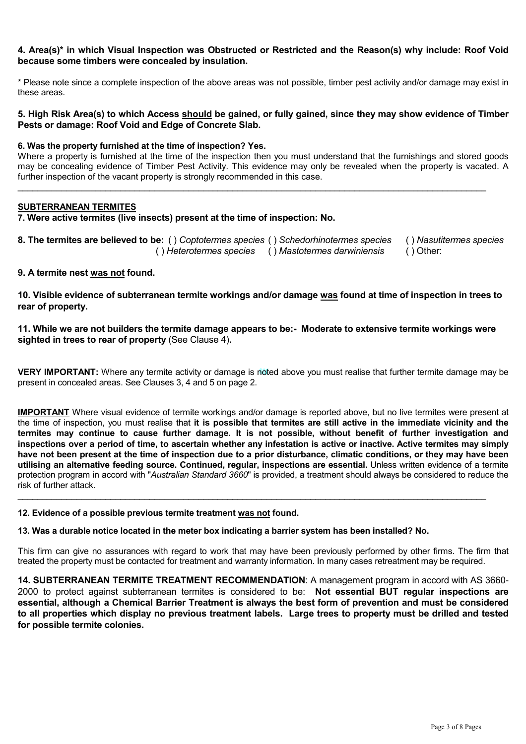#### 4. Area(s)\* in which Visual Inspection was Obstructed or Restricted and the Reason(s) why include: Roof Void because some timbers were concealed by insulation.

\* Please note since a complete inspection of the above areas was not possible, timber pest activity and/or damage may exist in these areas.

#### 5. High Risk Area(s) to which Access should be gained, or fully gained, since they may show evidence of Timber Pests or damage: Roof Void and Edge of Concrete Slab.

#### 6. Was the property furnished at the time of inspection? Yes.

Where a property is furnished at the time of the inspection then you must understand that the furnishings and stored goods may be concealing evidence of Timber Pest Activity. This evidence may only be revealed when the property is vacated. A further inspection of the vacant property is strongly recommended in this case.

 $\_$  . The contribution of the contribution of the contribution of the contribution of the contribution of the contribution of the contribution of the contribution of the contribution of the contribution of the contributio

#### SUBTERRANEAN TERMITES

7. Were active termites (live insects) present at the time of inspection: No.

| 8. The termites are believed to be: () Coptotermes species () Schedorhinotermes species () Nasutitermes species |  |
|-----------------------------------------------------------------------------------------------------------------|--|
| () Heterotermes species () Mastotermes darwiniensis () Other:                                                   |  |

## 9. A termite nest was not found.

10. Visible evidence of subterranean termite workings and/or damage was found at time of inspection in trees to rear of property.

11. While we are not builders the termite damage appears to be:- Moderate to extensive termite workings were sighted in trees to rear of property (See Clause 4).

VERY IMPORTANT: Where any termite activity or damage is noted above you must realise that further termite damage may be present in concealed areas. See Clauses 3, 4 and 5 on page 2.

IMPORTANT Where visual evidence of termite workings and/or damage is reported above, but no live termites were present at the time of inspection, you must realise that it is possible that termites are still active in the immediate vicinity and the termites may continue to cause further damage. It is not possible, without benefit of further investigation and inspections over a period of time, to ascertain whether any infestation is active or inactive. Active termites may simply have not been present at the time of inspection due to a prior disturbance, climatic conditions, or they may have been utilising an alternative feeding source. Continued, regular, inspections are essential. Unless written evidence of a termite protection program in accord with "Australian Standard 3660" is provided, a treatment should always be considered to reduce the risk of further attack.

\_\_\_\_\_\_\_\_\_\_\_\_\_\_\_\_\_\_\_\_\_\_\_\_\_\_\_\_\_\_\_\_\_\_\_\_\_\_\_\_\_\_\_\_\_\_\_\_\_\_\_\_\_\_\_\_\_\_\_\_\_\_\_\_\_\_\_\_\_\_\_\_\_\_\_\_\_\_\_\_\_\_\_\_\_\_\_\_\_\_\_\_\_\_\_\_

#### 12. Evidence of a possible previous termite treatment was not found.

#### 13. Was a durable notice located in the meter box indicating a barrier system has been installed? No.

This firm can give no assurances with regard to work that may have been previously performed by other firms. The firm that treated the property must be contacted for treatment and warranty information. In many cases retreatment may be required.

14. SUBTERRANEAN TERMITE TREATMENT RECOMMENDATION: A management program in accord with AS 3660- 2000 to protect against subterranean termites is considered to be: Not essential BUT regular inspections are essential, although a Chemical Barrier Treatment is always the best form of prevention and must be considered to all properties which display no previous treatment labels. Large trees to property must be drilled and tested for possible termite colonies.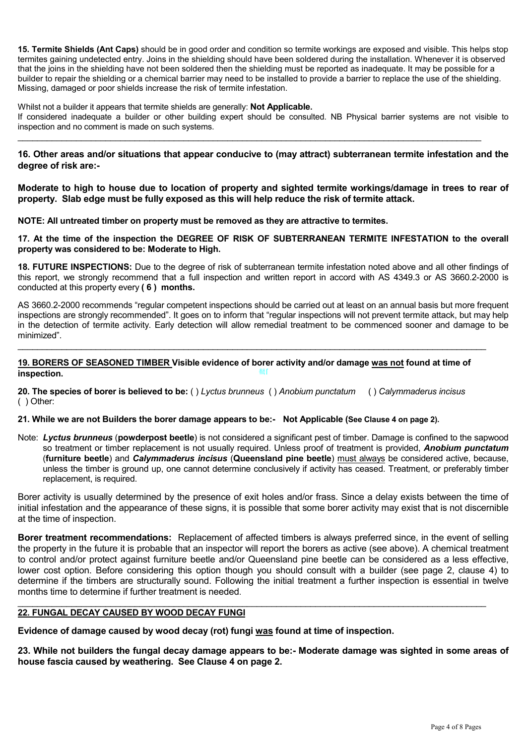15. Termite Shields (Ant Caps) should be in good order and condition so termite workings are exposed and visible. This helps stop termites gaining undetected entry. Joins in the shielding should have been soldered during the installation. Whenever it is observed that the joins in the shielding have not been soldered then the shielding must be reported as inadequate. It may be possible for a builder to repair the shielding or a chemical barrier may need to be installed to provide a barrier to replace the use of the shielding. Missing, damaged or poor shields increase the risk of termite infestation.

Whilst not a builder it appears that termite shields are generally: **Not Applicable.** 

If considered inadequate a builder or other building expert should be consulted. NB Physical barrier systems are not visible to inspection and no comment is made on such systems.

\_\_\_\_\_\_\_\_\_\_\_\_\_\_\_\_\_\_\_\_\_\_\_\_\_\_\_\_\_\_\_\_\_\_\_\_\_\_\_\_\_\_\_\_\_\_\_\_\_\_\_\_\_\_\_\_\_\_\_\_\_\_\_\_\_\_\_\_\_\_\_\_\_\_\_\_\_\_\_\_\_\_\_\_\_\_\_\_\_\_\_\_\_\_\_

16. Other areas and/or situations that appear conducive to (may attract) subterranean termite infestation and the degree of risk are:-

Moderate to high to house due to location of property and sighted termite workings/damage in trees to rear of property. Slab edge must be fully exposed as this will help reduce the risk of termite attack.

NOTE: All untreated timber on property must be removed as they are attractive to termites.

17. At the time of the inspection the DEGREE OF RISK OF SUBTERRANEAN TERMITE INFESTATION to the overall property was considered to be: Moderate to High.

18. FUTURE INSPECTIONS: Due to the degree of risk of subterranean termite infestation noted above and all other findings of this report, we strongly recommend that a full inspection and written report in accord with AS 4349.3 or AS 3660.2-2000 is conducted at this property every ( 6 ) months.

AS 3660.2-2000 recommends "regular competent inspections should be carried out at least on an annual basis but more frequent inspections are strongly recommended". It goes on to inform that "regular inspections will not prevent termite attack, but may help in the detection of termite activity. Early detection will allow remedial treatment to be commenced sooner and damage to be minimized".

쵘ſ 19. BORERS OF SEASONED TIMBER Visible evidence of borer activity and/or damage was not found at time of inspection.

 $\_$  . The contribution of the contribution of the contribution of the contribution of the contribution of the contribution of the contribution of the contribution of the contribution of the contribution of the contributio

20. The species of borer is believed to be: () Lyctus brunneus () Anobium punctatum () Calymmaderus incisus ( ) Other:

#### 21. While we are not Builders the borer damage appears to be:- Not Applicable (See Clause 4 on page 2).

Note: Lyctus brunneus (powderpost beetle) is not considered a significant pest of timber. Damage is confined to the sapwood so treatment or timber replacement is not usually required. Unless proof of treatment is provided, Anobium punctatum (furniture beetle) and Calymmaderus incisus (Queensland pine beetle) must always be considered active, because, unless the timber is ground up, one cannot determine conclusively if activity has ceased. Treatment, or preferably timber replacement, is required.

Borer activity is usually determined by the presence of exit holes and/or frass. Since a delay exists between the time of initial infestation and the appearance of these signs, it is possible that some borer activity may exist that is not discernible at the time of inspection.

Borer treatment recommendations: Replacement of affected timbers is always preferred since, in the event of selling the property in the future it is probable that an inspector will report the borers as active (see above). A chemical treatment to control and/or protect against furniture beetle and/or Queensland pine beetle can be considered as a less effective, lower cost option. Before considering this option though you should consult with a builder (see page 2, clause 4) to determine if the timbers are structurally sound. Following the initial treatment a further inspection is essential in twelve months time to determine if further treatment is needed.

#### \_\_\_\_\_\_\_\_\_\_\_\_\_\_\_\_\_\_\_\_\_\_\_\_\_\_\_\_\_\_\_\_\_\_\_\_\_\_\_\_\_\_\_\_\_\_\_\_\_\_\_\_\_\_\_\_\_\_\_\_\_\_\_\_\_\_\_\_\_\_\_\_\_\_\_\_\_\_\_\_\_\_\_\_\_\_\_\_\_\_\_\_\_\_\_\_ 22. FUNGAL DECAY CAUSED BY WOOD DECAY FUNGI

Evidence of damage caused by wood decay (rot) fungi was found at time of inspection.

23. While not builders the fungal decay damage appears to be:- Moderate damage was sighted in some areas of house fascia caused by weathering. See Clause 4 on page 2.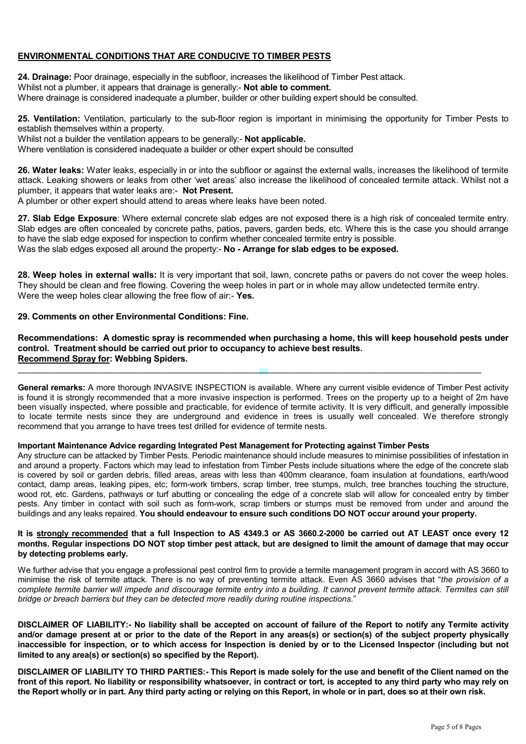## ENVIRONMENTAL CONDITIONS THAT ARE CONDUCIVE TO TIMBER PESTS

24. Drainage: Poor drainage, especially in the subfloor, increases the likelihood of Timber Pest attack. Whilst not a plumber, it appears that drainage is generally:- Not able to comment. Where drainage is considered inadequate a plumber, builder or other building expert should be consulted.

25. Ventilation: Ventilation, particularly to the sub-floor region is important in minimising the opportunity for Timber Pests to establish themselves within a property.

Whilst not a builder the ventilation appears to be generally:- Not applicable. Where ventilation is considered inadequate a builder or other expert should be consulted

26. Water leaks: Water leaks, especially in or into the subfloor or against the external walls, increases the likelihood of termite attack. Leaking showers or leaks from other 'wet areas' also increase the likelihood of concealed termite attack. Whilst not a plumber, it appears that water leaks are:- Not Present.

A plumber or other expert should attend to areas where leaks have been noted.

27. Slab Edge Exposure: Where external concrete slab edges are not exposed there is a high risk of concealed termite entry. Slab edges are often concealed by concrete paths, patios, pavers, garden beds, etc. Where this is the case you should arrange to have the slab edge exposed for inspection to confirm whether concealed termite entry is possible. Was the slab edges exposed all around the property:- No - Arrange for slab edges to be exposed.

28. Weep holes in external walls: It is very important that soil, lawn, concrete paths or pavers do not cover the weep holes. They should be clean and free flowing. Covering the weep holes in part or in whole may allow undetected termite entry. Were the weep holes clear allowing the free flow of air:- Yes.

## 29. Comments on other Environmental Conditions: Fine.

### Recommendations: A domestic spray is recommended when purchasing a home, this will keep household pests under control. Treatment should be carried out prior to occupancy to achieve best results. Recommend Spray for: Webbing Spiders.

쵘ſ

 $_\mathrm{50}$  and the contribution of the contribution of the contribution of the contribution of the contribution of the contribution of the contribution of the contribution of the contribution of the contribution of the cont

General remarks: A more thorough INVASIVE INSPECTION is available. Where any current visible evidence of Timber Pest activity is found it is strongly recommended that a more invasive inspection is performed. Trees on the property up to a height of 2m have been visually inspected, where possible and practicable, for evidence of termite activity. It is very difficult, and generally impossible to locate termite nests since they are underground and evidence in trees is usually well concealed. We therefore strongly recommend that you arrange to have trees test drilled for evidence of termite nests.

#### Important Maintenance Advice regarding Integrated Pest Management for Protecting against Timber Pests

Any structure can be attacked by Timber Pests. Periodic maintenance should include measures to minimise possibilities of infestation in and around a property. Factors which may lead to infestation from Timber Pests include situations where the edge of the concrete slab is covered by soil or garden debris, filled areas, areas with less than 400mm clearance, foam insulation at foundations, earth/wood contact, damp areas, leaking pipes, etc; form-work timbers, scrap timber, tree stumps, mulch, tree branches touching the structure, wood rot, etc. Gardens, pathways or turf abutting or concealing the edge of a concrete slab will allow for concealed entry by timber pests. Any timber in contact with soil such as form-work, scrap timbers or stumps must be removed from under and around the buildings and any leaks repaired. You should endeavour to ensure such conditions DO NOT occur around your property.

#### It is strongly recommended that a full Inspection to AS 4349.3 or AS 3660.2-2000 be carried out AT LEAST once every 12 months. Regular inspections DO NOT stop timber pest attack, but are designed to limit the amount of damage that may occur by detecting problems early.

We further advise that you engage a professional pest control firm to provide a termite management program in accord with AS 3660 to minimise the risk of termite attack. There is no way of preventing termite attack. Even AS 3660 advises that "the provision of a complete termite barrier will impede and discourage termite entry into a building. It cannot prevent termite attack. Termites can still bridge or breach barriers but they can be detected more readily during routine inspections."

DISCLAIMER OF LIABILITY:- No liability shall be accepted on account of failure of the Report to notify any Termite activity and/or damage present at or prior to the date of the Report in any areas(s) or section(s) of the subject property physically inaccessible for inspection, or to which access for Inspection is denied by or to the Licensed Inspector (including but not limited to any area(s) or section(s) so specified by the Report).

DISCLAIMER OF LIABILITY TO THIRD PARTIES:- This Report is made solely for the use and benefit of the Client named on the front of this report. No liability or responsibility whatsoever, in contract or tort, is accepted to any third party who may rely on the Report wholly or in part. Any third party acting or relying on this Report, in whole or in part, does so at their own risk.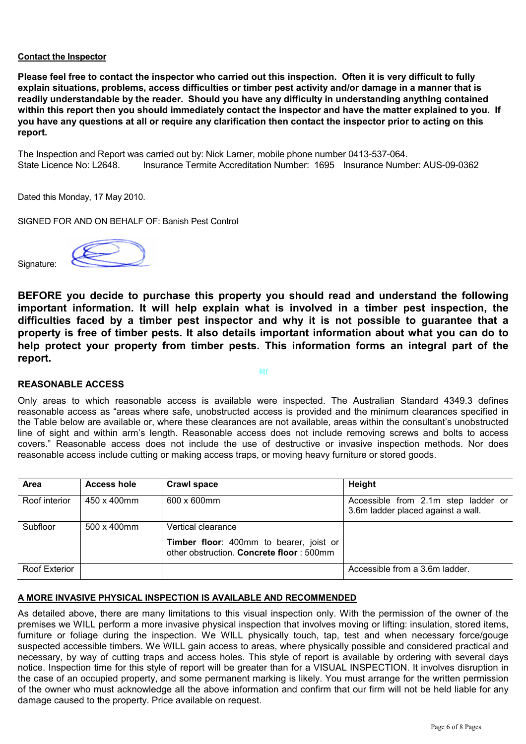### Contact the Inspector

Please feel free to contact the inspector who carried out this inspection. Often it is very difficult to fully explain situations, problems, access difficulties or timber pest activity and/or damage in a manner that is readily understandable by the reader. Should you have any difficulty in understanding anything contained within this report then you should immediately contact the inspector and have the matter explained to you. If you have any questions at all or require any clarification then contact the inspector prior to acting on this report.

The Inspection and Report was carried out by: Nick Larner, mobile phone number 0413-537-064. State Licence No: L2648. Insurance Termite Accreditation Number: 1695 Insurance Number: AUS-09-0362

Dated this Monday, 17 May 2010.

Signature:

SIGNED FOR AND ON BEHALF OF: Banish Pest Control



BEFORE you decide to purchase this property you should read and understand the following important information. It will help explain what is involved in a timber pest inspection, the difficulties faced by a timber pest inspector and why it is not possible to guarantee that a property is free of timber pests. It also details important information about what you can do to help protect your property from timber pests. This information forms an integral part of the report.

#### 쵘ſ

## REASONABLE ACCESS

Only areas to which reasonable access is available were inspected. The Australian Standard 4349.3 defines reasonable access as "areas where safe, unobstructed access is provided and the minimum clearances specified in the Table below are available or, where these clearances are not available, areas within the consultant's unobstructed line of sight and within arm's length. Reasonable access does not include removing screws and bolts to access covers." Reasonable access does not include the use of destructive or invasive inspection methods. Nor does reasonable access include cutting or making access traps, or moving heavy furniture or stored goods.

| <b>Area</b>   | <b>Access hole</b>  | <b>Crawl space</b>                                                                  | Height                                                                    |
|---------------|---------------------|-------------------------------------------------------------------------------------|---------------------------------------------------------------------------|
| Roof interior | 450 x 400mm         | 600 x 600mm                                                                         | Accessible from 2.1m step ladder or<br>3.6m ladder placed against a wall. |
| Subfloor      | $500 \times 400$ mm | Vertical clearance                                                                  |                                                                           |
|               |                     | Timber floor: 400mm to bearer, joist or<br>other obstruction. Concrete floor: 500mm |                                                                           |
| Roof Exterior |                     |                                                                                     | Accessible from a 3.6m ladder.                                            |

#### A MORE INVASIVE PHYSICAL INSPECTION IS AVAILABLE AND RECOMMENDED

As detailed above, there are many limitations to this visual inspection only. With the permission of the owner of the premises we WILL perform a more invasive physical inspection that involves moving or lifting: insulation, stored items, furniture or foliage during the inspection. We WILL physically touch, tap, test and when necessary force/gouge suspected accessible timbers. We WILL gain access to areas, where physically possible and considered practical and necessary, by way of cutting traps and access holes. This style of report is available by ordering with several days notice. Inspection time for this style of report will be greater than for a VISUAL INSPECTION. It involves disruption in the case of an occupied property, and some permanent marking is likely. You must arrange for the written permission of the owner who must acknowledge all the above information and confirm that our firm will not be held liable for any damage caused to the property. Price available on request.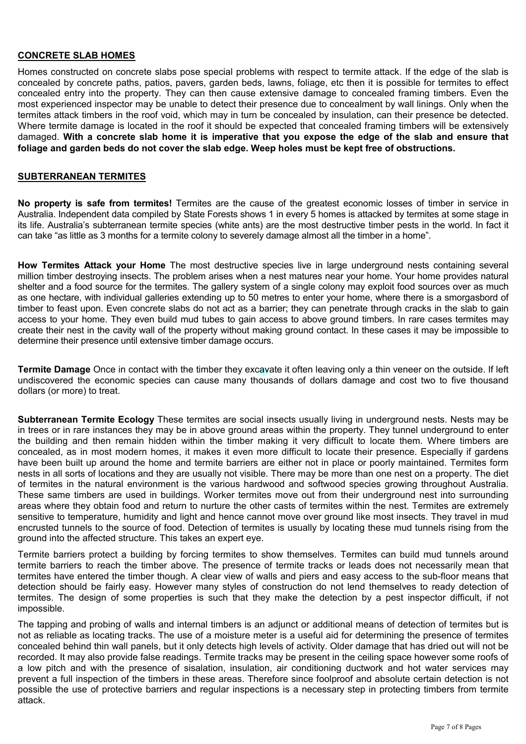## CONCRETE SLAB HOMES

Homes constructed on concrete slabs pose special problems with respect to termite attack. If the edge of the slab is concealed by concrete paths, patios, pavers, garden beds, lawns, foliage, etc then it is possible for termites to effect concealed entry into the property. They can then cause extensive damage to concealed framing timbers. Even the most experienced inspector may be unable to detect their presence due to concealment by wall linings. Only when the termites attack timbers in the roof void, which may in turn be concealed by insulation, can their presence be detected. Where termite damage is located in the roof it should be expected that concealed framing timbers will be extensively damaged. With a concrete slab home it is imperative that you expose the edge of the slab and ensure that foliage and garden beds do not cover the slab edge. Weep holes must be kept free of obstructions.

#### SUBTERRANEAN TERMITES

No property is safe from termites! Termites are the cause of the greatest economic losses of timber in service in Australia. Independent data compiled by State Forests shows 1 in every 5 homes is attacked by termites at some stage in its life. Australia's subterranean termite species (white ants) are the most destructive timber pests in the world. In fact it can take "as little as 3 months for a termite colony to severely damage almost all the timber in a home".

How Termites Attack your Home The most destructive species live in large underground nests containing several million timber destroying insects. The problem arises when a nest matures near your home. Your home provides natural shelter and a food source for the termites. The gallery system of a single colony may exploit food sources over as much as one hectare, with individual galleries extending up to 50 metres to enter your home, where there is a smorgasbord of timber to feast upon. Even concrete slabs do not act as a barrier; they can penetrate through cracks in the slab to gain access to your home. They even build mud tubes to gain access to above ground timbers. In rare cases termites may create their nest in the cavity wall of the property without making ground contact. In these cases it may be impossible to determine their presence until extensive timber damage occurs.

Termite Damage Once in contact with the timber they excavate it often leaving only a thin veneer on the outside. If left undiscovered the economic species can cause many thousands of dollars damage and cost two to five thousand dollars (or more) to treat.

Subterranean Termite Ecology These termites are social insects usually living in underground nests. Nests may be in trees or in rare instances they may be in above ground areas within the property. They tunnel underground to enter the building and then remain hidden within the timber making it very difficult to locate them. Where timbers are concealed, as in most modern homes, it makes it even more difficult to locate their presence. Especially if gardens have been built up around the home and termite barriers are either not in place or poorly maintained. Termites form nests in all sorts of locations and they are usually not visible. There may be more than one nest on a property. The diet of termites in the natural environment is the various hardwood and softwood species growing throughout Australia. These same timbers are used in buildings. Worker termites move out from their underground nest into surrounding areas where they obtain food and return to nurture the other casts of termites within the nest. Termites are extremely sensitive to temperature, humidity and light and hence cannot move over ground like most insects. They travel in mud encrusted tunnels to the source of food. Detection of termites is usually by locating these mud tunnels rising from the ground into the affected structure. This takes an expert eye.

Termite barriers protect a building by forcing termites to show themselves. Termites can build mud tunnels around termite barriers to reach the timber above. The presence of termite tracks or leads does not necessarily mean that termites have entered the timber though. A clear view of walls and piers and easy access to the sub-floor means that detection should be fairly easy. However many styles of construction do not lend themselves to ready detection of termites. The design of some properties is such that they make the detection by a pest inspector difficult, if not impossible.

The tapping and probing of walls and internal timbers is an adjunct or additional means of detection of termites but is not as reliable as locating tracks. The use of a moisture meter is a useful aid for determining the presence of termites concealed behind thin wall panels, but it only detects high levels of activity. Older damage that has dried out will not be recorded. It may also provide false readings. Termite tracks may be present in the ceiling space however some roofs of a low pitch and with the presence of sisalation, insulation, air conditioning ductwork and hot water services may prevent a full inspection of the timbers in these areas. Therefore since foolproof and absolute certain detection is not possible the use of protective barriers and regular inspections is a necessary step in protecting timbers from termite attack.